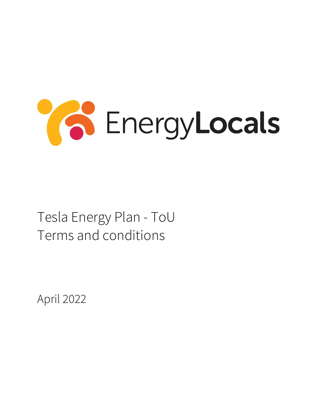

## Tesla Energy Plan - ToU Terms and conditions

April 2022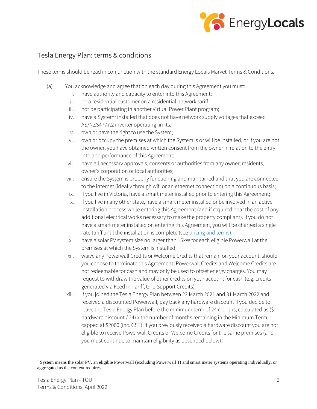

## Tesla Energy Plan: terms & conditions

These terms should be read in conjunction with the standard Energy Locals Market Terms & Conditions.

- (a) You acknowledge and agree that on each day during this Agreement you must:
	- i. have authority and capacity to enter into this Agreement;
	- ii. be a residential customer on a residential network tariff;
	- iii. not be participating in another Virtual Power Plant program;
	- iv. have a System<sup>1</sup> installed that does not have network supply voltages that exceed AS/NZS4777.2 inverter operating limits;
	- v. own or have the right to use the System;
	- vi. own or occupy the premises at which the System is or will be installed, or if you are not the owner, you have obtained written consent from the owner in relation to the entry into and performance of this Agreement;
	- vii. have all necessary approvals, consents or authorities from any owner, residents, owner's corporation or local authorities;
	- viii. ensure the System is properly functioning and maintained and that you are connected to the internet (ideally through wifi or an ethernet connection) on a continuous basis;
	- ix. if you live in Victoria, have a smart meter installed prior to entering this Agreement;
	- x. if you live in any other state, have a smart meter installed or be involved in an active installation process while entering this Agreement (and if required bear the cost of any additional electrical works necessary to make the property compliant). If you do not have a smart meter installed on entering this Agreement, you will be charged a single rate tariff until the installation is complete (se[e pricing and terms\)](https://save.energylocals.com.au/teslaenergyplan-tou-prices/);
	- xi. have a solar PV system size no larger than 15kW for each eligible Powerwall at the premises at which the System is installed;
	- xii. waive any Powerwall Credits or Welcome Credits that remain on your account, should you choose to terminate this Agreement. Powerwall Credits and Welcome Credits are not redeemable for cash and may only be used to offset energy charges. You may request to withdraw the value of other credits on your account for cash (e.g. credits generated via Feed in Tariff, Grid Support Credits).
	- xiii. if you joined the Tesla Energy Plan between 22 March 2021 and 31 March 2022 and received a discounted Powerwall, pay back any hardware discount if you decide to leave the Tesla Energy Plan before the minimum term of 24 months, calculated as (\$ hardware discount / 24) x the number of months remaining in the Minimum Term, capped at \$2000 (inc. GST). If you previously received a hardware discount you are not eligible to receive Powerwall Credits or Welcome Credits for the same premises (and you must continue to maintain eligibility as described below).

<sup>&</sup>lt;sup>1</sup> System means the solar PV, an eligible Powerwall (excluding Powerwall 1) and smart meter systems operating individually, or aggregated as the context requires.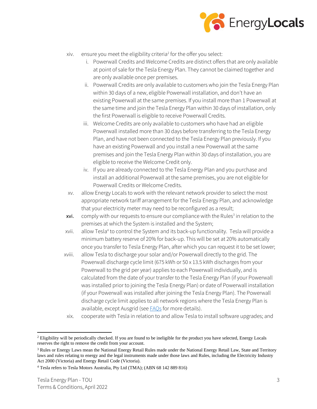

- xiv. ensure you meet the eligibility criteria<sup>2</sup> for the offer you select:
	- i. Powerwall Credits and Welcome Credits are distinct offers that are only available at point of sale for the Tesla Energy Plan. They cannot be claimed together and are only available once per premises.
	- ii. Powerwall Credits are only available to customers who join the Tesla Energy Plan within 30 days of a new, eligible Powerwall installation, and don't have an existing Powerwall at the same premises. If you install more than 1 Powerwall at the same time and join the Tesla Energy Plan within 30 days of installation, only the first Powerwall is eligible to receive Powerwall Credits.
	- iii. Welcome Credits are only available to customers who have had an eligible Powerwall installed more than 30 days before transferring to the Tesla Energy Plan, and have not been connected to the Tesla Energy Plan previously. If you have an existing Powerwall and you install a new Powerwall at the same premises and join the Tesla Energy Plan within 30 days of installation, you are eligible to receive the Welcome Credit only.
	- iv. If you are already connected to the Tesla Energy Plan and you purchase and install an additional Powerwall at the same premises, you are not eligible for Powerwall Credits or Welcome Credits.
- xv. allow Energy Locals to work with the relevant network provider to select the most appropriate network tariff arrangement for the Tesla Energy Plan, and acknowledge that your electricity meter may need to be reconfigured as a result;
- xvi. comply with our requests to ensure our compliance with the Rules<sup>3</sup> in relation to the premises at which the System is installed and the System;
- xvii. allow Tesla<sup>4</sup> to control the System and its back-up functionality. Tesla will provide a minimum battery reserve of 20% for back-up. This will be set at 20% automatically once you transfer to Tesla Energy Plan, after which you can request it to be set lower;
- xviii. allow Tesla to discharge your solar and/or Powerwall directly to the grid. The Powerwall discharge cycle limit (675 kWh or 50 x 13.5 kWh discharges from your Powerwall to the grid per year) applies to each Powerwall individually, and is calculated from the date of your transfer to the Tesla Energy Plan (if your Powerwall was installed prior to joining the Tesla Energy Plan) or date of Powerwall installation (if your Powerwall was installed after joining the Tesla Energy Plan). The Powerwall discharge cycle limit applies to all network regions where the Tesla Energy Plan is available, except Ausgrid (see **FAQs** for more details).
	- xix. cooperate with Tesla in relation to and allow Tesla to install software upgrades; and

<sup>&</sup>lt;sup>2</sup> Eligibility will be periodically checked. If you are found to be ineligible for the product you have selected, Energy Locals reserves the right to remove the credit from your account.

<sup>&</sup>lt;sup>3</sup> Rules or Energy Laws mean the National Energy Retail Rules made under the National Energy Retail Law, State and Territory laws and rules relating to energy and the legal instruments made under those laws and Rules, including the Electricity Industry Act 2000 (Victoria) and Energy Retail Code (Victoria).

<sup>4</sup> Tesla refers to Tesla Motors Australia, Pty Ltd (TMA); (ABN 68 142 889 816)